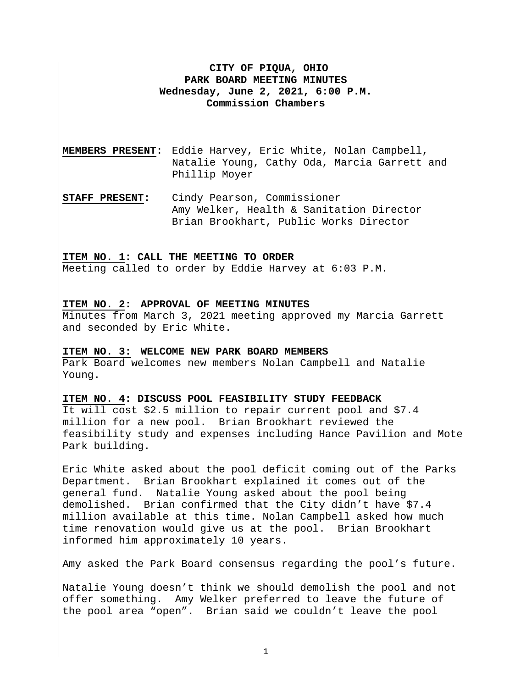## **CITY OF PIQUA, OHIO PARK BOARD MEETING MINUTES Wednesday, June 2, 2021, 6:00 P.M. Commission Chambers**

- **MEMBERS PRESENT:** Eddie Harvey, Eric White, Nolan Campbell, Natalie Young, Cathy Oda, Marcia Garrett and Phillip Moyer
- **STAFF PRESENT:** Cindy Pearson, Commissioner Amy Welker, Health & Sanitation Director Brian Brookhart, Public Works Director

## **ITEM NO. 1: CALL THE MEETING TO ORDER**

Meeting called to order by Eddie Harvey at 6:03 P.M.

## **ITEM NO. 2: APPROVAL OF MEETING MINUTES**

Minutes from March 3, 2021 meeting approved my Marcia Garrett and seconded by Eric White.

#### **ITEM NO. 3: WELCOME NEW PARK BOARD MEMBERS**

Park Board welcomes new members Nolan Campbell and Natalie Young.

## **ITEM NO. 4: DISCUSS POOL FEASIBILITY STUDY FEEDBACK**

It will cost \$2.5 million to repair current pool and \$7.4 million for a new pool. Brian Brookhart reviewed the feasibility study and expenses including Hance Pavilion and Mote Park building.

Eric White asked about the pool deficit coming out of the Parks Department. Brian Brookhart explained it comes out of the general fund. Natalie Young asked about the pool being demolished. Brian confirmed that the City didn't have \$7.4 million available at this time. Nolan Campbell asked how much time renovation would give us at the pool. Brian Brookhart informed him approximately 10 years.

Amy asked the Park Board consensus regarding the pool's future.

Natalie Young doesn't think we should demolish the pool and not offer something. Amy Welker preferred to leave the future of the pool area "open". Brian said we couldn't leave the pool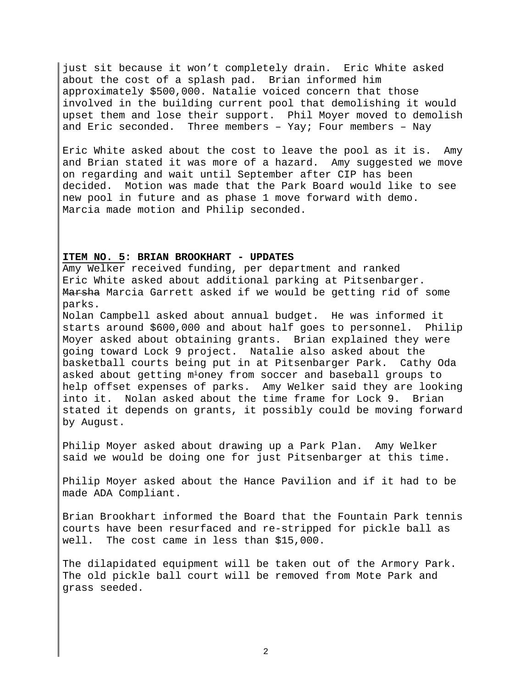just sit because it won't completely drain. Eric White asked about the cost of a splash pad. Brian informed him approximately \$500,000. Natalie voiced concern that those involved in the building current pool that demolishing it would upset them and lose their support. Phil Moyer moved to demolish and Eric seconded. Three members – Yay; Four members – Nay

Eric White asked about the cost to leave the pool as it is. Amy and Brian stated it was more of a hazard. Amy suggested we move on regarding and wait until September after CIP has been decided. Motion was made that the Park Board would like to see new pool in future and as phase 1 move forward with demo. Marcia made motion and Philip seconded.

## **ITEM NO. 5: BRIAN BROOKHART - UPDATES**

Amy Welker received funding, per department and ranked Eric White asked about additional parking at Pitsenbarger. Marsha Marcia Garrett asked if we would be getting rid of some parks.

Nolan Campbell asked about annual budget. He was informed it starts around \$600,000 and about half goes to personnel. Philip Moyer asked about obtaining grants. Brian explained they were going toward Lock 9 project. Natalie also asked about the basketball courts being put in at Pitsenbarger Park. Cathy Oda asked about getting mioney from soccer and baseball groups to help offset expenses of parks. Amy Welker said they are looking into it. Nolan asked about the time frame for Lock 9. Brian stated it depends on grants, it possibly could be moving forward by August.

Philip Moyer asked about drawing up a Park Plan. Amy Welker said we would be doing one for just Pitsenbarger at this time.

Philip Moyer asked about the Hance Pavilion and if it had to be made ADA Compliant.

Brian Brookhart informed the Board that the Fountain Park tennis courts have been resurfaced and re-stripped for pickle ball as well. The cost came in less than \$15,000.

The dilapidated equipment will be taken out of the Armory Park. The old pickle ball court will be removed from Mote Park and grass seeded.